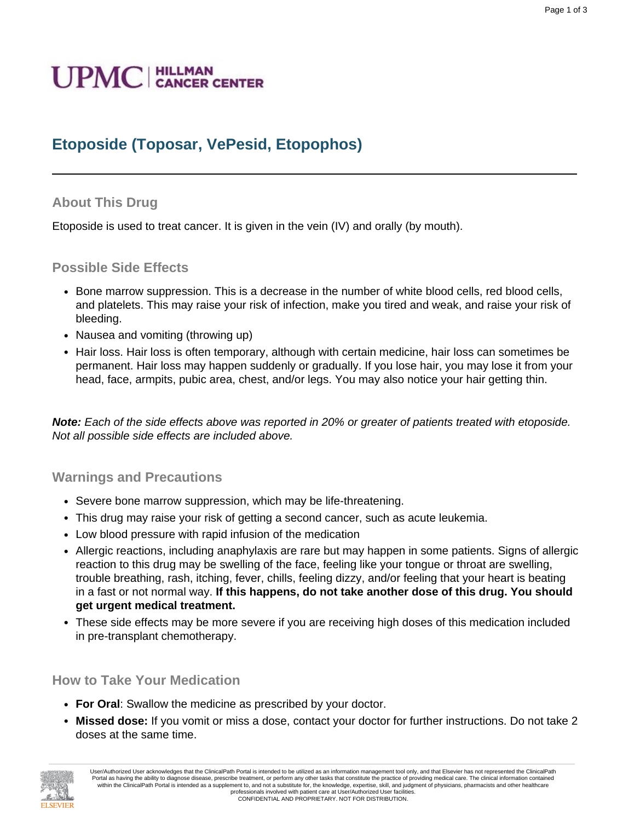# **UPMC** | HILLMAN

# **Etoposide (Toposar, VePesid, Etopophos)**

#### **About This Drug**

Etoposide is used to treat cancer. It is given in the vein (IV) and orally (by mouth).

#### **Possible Side Effects**

- Bone marrow suppression. This is a decrease in the number of white blood cells, red blood cells, and platelets. This may raise your risk of infection, make you tired and weak, and raise your risk of bleeding.
- Nausea and vomiting (throwing up)
- Hair loss. Hair loss is often temporary, although with certain medicine, hair loss can sometimes be permanent. Hair loss may happen suddenly or gradually. If you lose hair, you may lose it from your head, face, armpits, pubic area, chest, and/or legs. You may also notice your hair getting thin.

**Note:** Each of the side effects above was reported in 20% or greater of patients treated with etoposide. Not all possible side effects are included above.

#### **Warnings and Precautions**

- Severe bone marrow suppression, which may be life-threatening.
- This drug may raise your risk of getting a second cancer, such as acute leukemia.
- Low blood pressure with rapid infusion of the medication
- Allergic reactions, including anaphylaxis are rare but may happen in some patients. Signs of allergic reaction to this drug may be swelling of the face, feeling like your tongue or throat are swelling, trouble breathing, rash, itching, fever, chills, feeling dizzy, and/or feeling that your heart is beating in a fast or not normal way. **If this happens, do not take another dose of this drug. You should get urgent medical treatment.**
- These side effects may be more severe if you are receiving high doses of this medication included in pre-transplant chemotherapy.

#### **How to Take Your Medication**

- **For Oral**: Swallow the medicine as prescribed by your doctor.
- **Missed dose:** If you vomit or miss a dose, contact your doctor for further instructions. Do not take 2 doses at the same time.

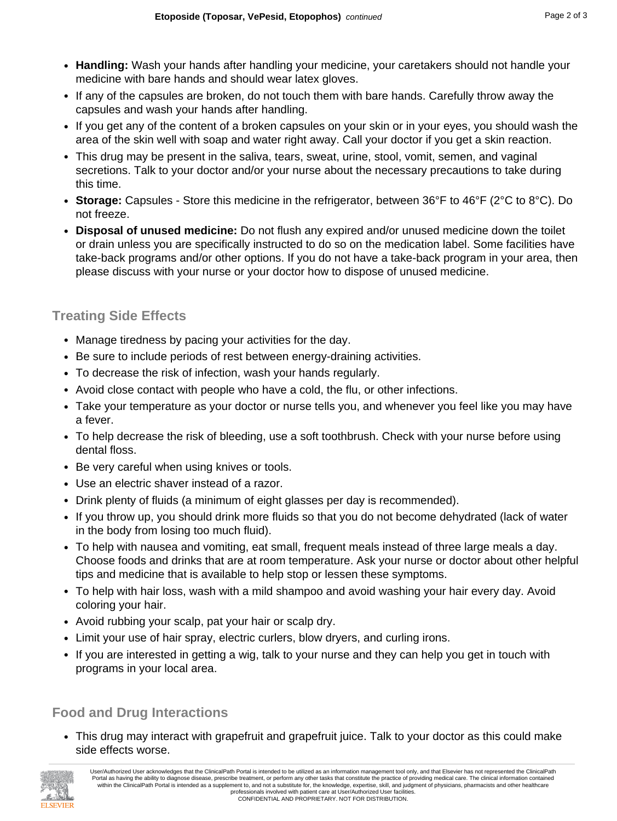- **Handling:** Wash your hands after handling your medicine, your caretakers should not handle your medicine with bare hands and should wear latex gloves.
- If any of the capsules are broken, do not touch them with bare hands. Carefully throw away the capsules and wash your hands after handling.
- If you get any of the content of a broken capsules on your skin or in your eyes, you should wash the area of the skin well with soap and water right away. Call your doctor if you get a skin reaction.
- This drug may be present in the saliva, tears, sweat, urine, stool, vomit, semen, and vaginal secretions. Talk to your doctor and/or your nurse about the necessary precautions to take during this time.
- **Storage:** Capsules Store this medicine in the refrigerator, between 36°F to 46°F (2°C to 8°C). Do not freeze.
- **Disposal of unused medicine:** Do not flush any expired and/or unused medicine down the toilet or drain unless you are specifically instructed to do so on the medication label. Some facilities have take-back programs and/or other options. If you do not have a take-back program in your area, then please discuss with your nurse or your doctor how to dispose of unused medicine.

### **Treating Side Effects**

- Manage tiredness by pacing your activities for the day.
- Be sure to include periods of rest between energy-draining activities.
- To decrease the risk of infection, wash your hands regularly.
- Avoid close contact with people who have a cold, the flu, or other infections.
- Take your temperature as your doctor or nurse tells you, and whenever you feel like you may have a fever.
- To help decrease the risk of bleeding, use a soft toothbrush. Check with your nurse before using dental floss.
- Be very careful when using knives or tools.
- Use an electric shaver instead of a razor.
- Drink plenty of fluids (a minimum of eight glasses per day is recommended).
- If you throw up, you should drink more fluids so that you do not become dehydrated (lack of water in the body from losing too much fluid).
- To help with nausea and vomiting, eat small, frequent meals instead of three large meals a day. Choose foods and drinks that are at room temperature. Ask your nurse or doctor about other helpful tips and medicine that is available to help stop or lessen these symptoms.
- To help with hair loss, wash with a mild shampoo and avoid washing your hair every day. Avoid coloring your hair.
- Avoid rubbing your scalp, pat your hair or scalp dry.
- Limit your use of hair spray, electric curlers, blow dryers, and curling irons.
- If you are interested in getting a wig, talk to your nurse and they can help you get in touch with programs in your local area.

## **Food and Drug Interactions**

• This drug may interact with grapefruit and grapefruit juice. Talk to your doctor as this could make side effects worse.